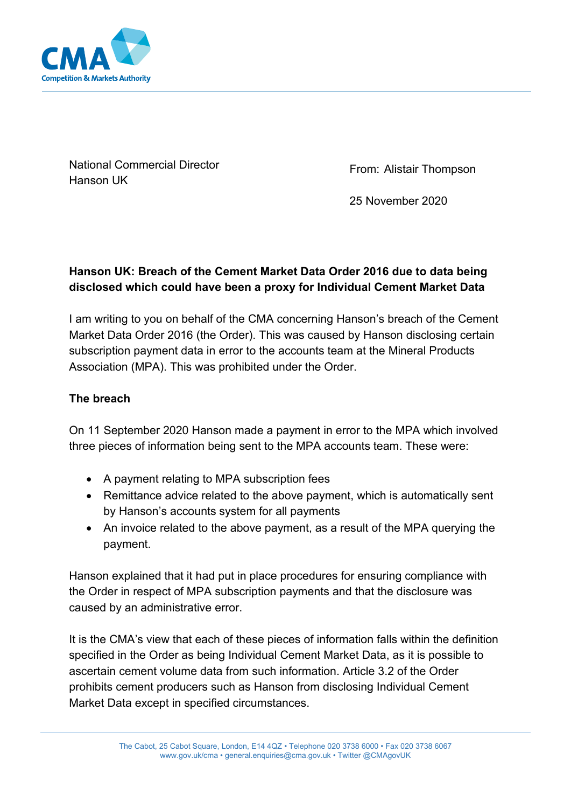

National Commercial Director Hanson UK

From: Alistair Thompson

25 November 2020

# **Hanson UK: Breach of the Cement Market Data Order 2016 due to data being disclosed which could have been a proxy for Individual Cement Market Data**

I am writing to you on behalf of the CMA concerning Hanson's breach of the Cement Market Data Order 2016 (the Order). This was caused by Hanson disclosing certain subscription payment data in error to the accounts team at the Mineral Products Association (MPA). This was prohibited under the Order.

### **The breach**

On 11 September 2020 Hanson made a payment in error to the MPA which involved three pieces of information being sent to the MPA accounts team. These were:

- A payment relating to MPA subscription fees
- Remittance advice related to the above payment, which is automatically sent by Hanson's accounts system for all payments
- An invoice related to the above payment, as a result of the MPA querying the payment.

Hanson explained that it had put in place procedures for ensuring compliance with the Order in respect of MPA subscription payments and that the disclosure was caused by an administrative error.

It is the CMA's view that each of these pieces of information falls within the definition specified in the Order as being Individual Cement Market Data, as it is possible to ascertain cement volume data from such information. Article 3.2 of the Order prohibits cement producers such as Hanson from disclosing Individual Cement Market Data except in specified circumstances.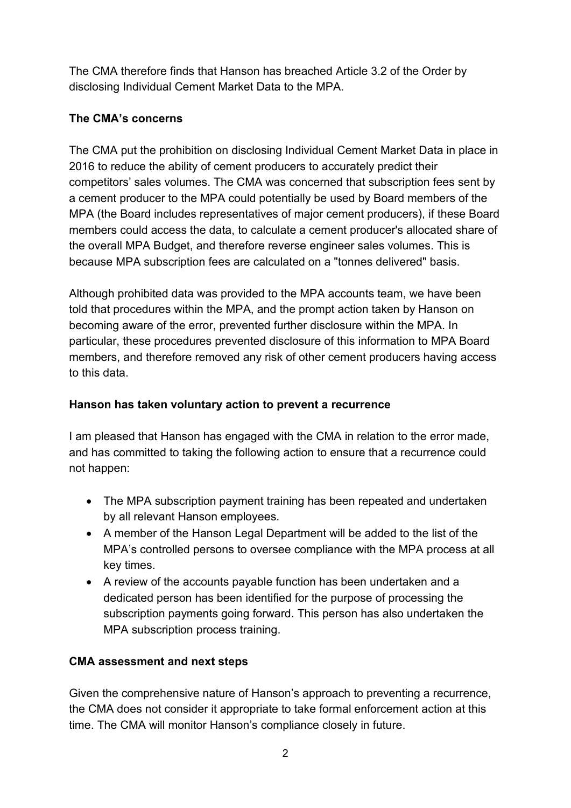The CMA therefore finds that Hanson has breached Article 3.2 of the Order by disclosing Individual Cement Market Data to the MPA.

# **The CMA's concerns**

The CMA put the prohibition on disclosing Individual Cement Market Data in place in 2016 to reduce the ability of cement producers to accurately predict their competitors' sales volumes. The CMA was concerned that subscription fees sent by a cement producer to the MPA could potentially be used by Board members of the MPA (the Board includes representatives of major cement producers), if these Board members could access the data, to calculate a cement producer's allocated share of the overall MPA Budget, and therefore reverse engineer sales volumes. This is because MPA subscription fees are calculated on a "tonnes delivered" basis.

Although prohibited data was provided to the MPA accounts team, we have been told that procedures within the MPA, and the prompt action taken by Hanson on becoming aware of the error, prevented further disclosure within the MPA. In particular, these procedures prevented disclosure of this information to MPA Board members, and therefore removed any risk of other cement producers having access to this data.

# **Hanson has taken voluntary action to prevent a recurrence**

I am pleased that Hanson has engaged with the CMA in relation to the error made, and has committed to taking the following action to ensure that a recurrence could not happen:

- The MPA subscription payment training has been repeated and undertaken by all relevant Hanson employees.
- A member of the Hanson Legal Department will be added to the list of the MPA's controlled persons to oversee compliance with the MPA process at all key times.
- A review of the accounts payable function has been undertaken and a dedicated person has been identified for the purpose of processing the subscription payments going forward. This person has also undertaken the MPA subscription process training.

### **CMA assessment and next steps**

Given the comprehensive nature of Hanson's approach to preventing a recurrence, the CMA does not consider it appropriate to take formal enforcement action at this time. The CMA will monitor Hanson's compliance closely in future.